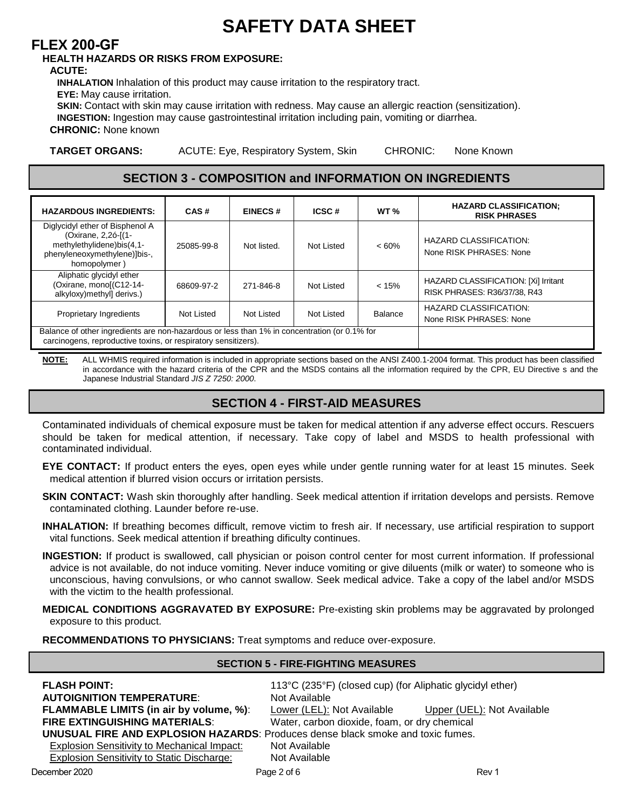# $GG:9HM85H5G<99H$

# :@9L'&\$\$!::

### <95@H<'<5N5F8G'CF'F=G?G':FCA'9LDCGIF9.'

#### 57 I H9.

=B<505H=CB Inhalation of this product may cause irritation to the respiratory tract.

9M9. May cause irritation.

G?-B. Contact with skin may cause irritation with redness. May cause an allergic reaction (sensitization).

**EB**; 9GH<sub>E</sub>CB. Ingestion may cause gastrointestinal irritation including pain, vomiting or diarrhea.

7<FCB=7. None known

**H5F: 9HCF: 5BG. ACUTE: Eye, Respiratory System, Skin** CHRONIC: None Known<sup>'</sup>

### G97H=CB'''!'7CADCG=H=CB'UbX'=B:CFA5H=CB'CB'=B:F98=9BHG'

| $<$ 5N5F8CIG-B; F98-9BHG.                                                                                                                                      | 75G        | $9 - B97G$  | $-7G7$            | $KH^{\prime}$ $\prime$ | <5N5F87@5GG=:=75H=CB/<br>$F=G$ ? $D < F$ 5G9G                        |
|----------------------------------------------------------------------------------------------------------------------------------------------------------------|------------|-------------|-------------------|------------------------|----------------------------------------------------------------------|
| Diglycidyl ether of Bisphenol A<br>(Oxirane, 2,2ó-[(1-<br>methylethylidene)bis(4,1-<br>phenyleneoxymethylene)]bis-,<br>homopolymer)                            | 25085-99-8 | Not listed. | Not Listed        | $<60\%$                | <b>HAZARD CLASSIFICATION:</b><br>None RISK PHRASES: None             |
| Aliphatic glycidyl ether<br>(Oxirane, mono[(C12-14-<br>alkyloxy)methyl] derivs.)                                                                               | 68609-97-2 | 271-846-8   | <b>Not Listed</b> | < 15%                  | HAZARD CLASSIFICATION: [Xi] Irritant<br>RISK PHRASES: R36/37/38, R43 |
| <b>Proprietary Ingredients</b>                                                                                                                                 | Not Listed | Not Listed  | Not Listed        | <b>Balance</b>         | <b>HAZARD CLASSIFICATION:</b><br>None RISK PHRASES: None             |
| Balance of other ingredients are non-hazardous or less than 1% in concentration (or 0.1% for<br>carcinogens, reproductive toxins, or respiratory sensitizers). |            |             |                   |                        |                                                                      |

**ВСН9.** ALL WHMIS required information is included in appropriate sections based on the ANSI Z400.1-2004 format. This product has been classified in accordance with the hazard criteria of the CPR and the MSDS contains all the information required by the CPR, EU Directive s and the Japanese Industrial Standard JIS Z 7250: 2000.

# G97H=CB('!' :=FGH!5=8 A95G I F9G

Contaminated individuals of chemical exposure must be taken for medical attention if any adverse effect occurs. Rescuers should be taken for medical attention, if necessary. Take copy of label and MSDS to health professional with contaminated individual.

9M9 7 CBH57H. If product enters the eyes, open eyes while under gentle running water for at least 15 minutes. Seek medical attention if blurred vision occurs or irritation persists.

G?=B'7CBH57H. Wash skin thoroughly after handling. Seek medical attention if irritation develops and persists. Remove contaminated clothing. Launder before re-use.

**EB**<5@5H**ECB.** If breathing becomes difficult, remove victim to fresh air. If necessary, use artificial respiration to support vital functions. Seek medical attention if breathing dificulty continues.

**EB**; 9GH=CB. If product is swallowed, call physician or poison control center for most current information. If professional advice is not available, do not induce vomiting. Never induce vomiting or give diluents (milk or water) to someone who is unconscious, having convulsions, or who cannot swallow. Seek medical advice. Take a copy of the label and/or MSDS with the victim to the health professional.

A98-750 7CB8-H-CBG 5: : F5J5H98 6M 9LDCG IF9. Pre-existing skin problems may be aggravated by prolonged exposure to this product.

F97CAA9B85H=CBG'HC'D<MG=7=5BG. Treat symptoms and reduce over-exposure.

#### G97H=CB ) '!' :=F9!:=; <H=B; A95GIF9G' :  $@5G<$  DC=BH. Not flammable 5 IHC=: B=H=CB H9AD9F5HIF9: Not Available<sup>-</sup> Upper (UEL): Not Available' :@5AA56@9`@=A=HG`fl]b`U]f`Vm`jc`iaYž`ıŁ: Lower (LEL): Not Available :=F9'9LH=B; I=G<=B; A5H9F=5@G: Water, carbon dioxide, foam, or dry chemical IBIGI50::= F9'5B8'9LD@CG=CB'<5N5F8G: Produces dense black smoke and toxic fumes. **Explosion Sensitivity to Mechanical Impact:** Not Available **Explosion Sensitivity to Static Discharge:** Not Available

December 2021

Page 2 of 6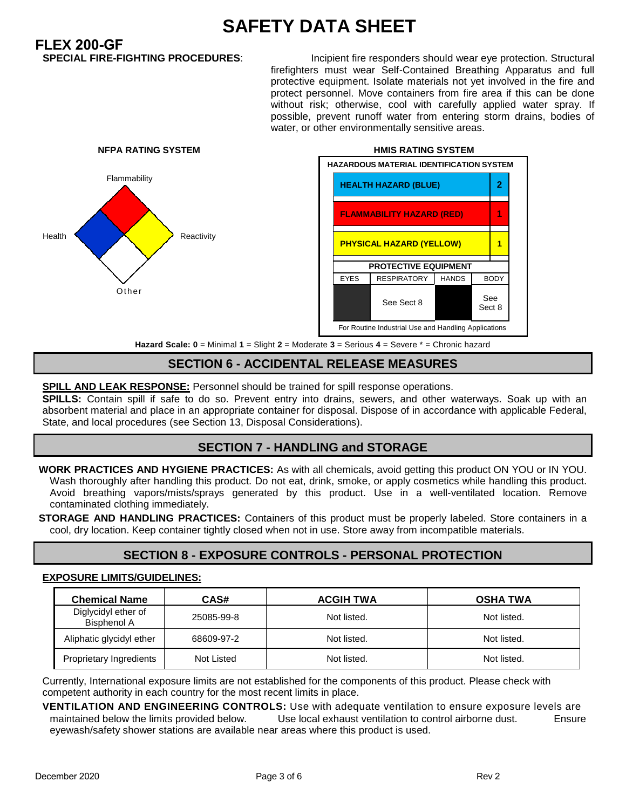# **65:9HM 85H5 G<99H**

**)/(;\*)**

Incipient fire responders should wear eye protection. Structural firefighters must wear Self-Contained Breathing Apparatus and full protective equipment. Isolate materials not yet involved in the fire and protect personnel. Move containers from fire area if this can be done without risk; otherwise, cool with carefully applied water spray. If possible, prevent runoff water from entering storm drains, bodies of water, or other environmentally sensitive areas.



**+UnUfX GWU Y. \$ = Minimal % = Slight & = Moderate ' = Serious ( = Severe \* = Chronic hazard**)

### G97H=CB<sup>++</sup> ! 577=89BH5@F9@95G9A95G1F9G

**GD-@@'5B8'@95?'F9GDCBG9.** Personnel should be trained for spill response operations.

GD=@@G. Contain spill if safe to do so. Prevent entry into drains, sewers, and other waterways. Soak up with an absorbent material and place in an appropriate container for disposal. Dispose of in accordance with applicable Federal, State, and local procedures (see Section 13, Disposal Considerations).

# G97H=CB+'!'<5B8@=B;'UbX'GHCF5;9'

KCF? DF57H=79G 5B8 <M; =9B9 DF57H=79G. As with all chemicals, avoid getting this product ON YOU or IN YOU. Wash thoroughly after handling this product. Do not eat, drink, smoke, or apply cosmetics while handling this product. Avoid breathing vapors/mists/sprays generated by this product. Use in a well-ventilated location. Remove contaminated clothing immediately.

GHCF5; 9' 5B8' < 5B8 @=B; DF57H=79G. Containers of this product must be properly labeled. Store containers in a cool, dry location. Keep container tightly closed when not in use. Store away from incompatible materials.

# G97H=CB', '!'9LDCGIF9'7CBHFC@G'!'D9FGCB5@'DFCH97H=CB'

#### **9LDCGIF9@-A-HG#; I-89@-B9G.**

| 7 \ Y a ]WU`BU a Y`                | 75G.       | $57 :=$ $\leq$ $\frac{1}{16}$ $\leq$ $\frac{1}{2}$ | $CG < 5$ HK 5 |
|------------------------------------|------------|----------------------------------------------------|---------------|
| Diglycidyl ether of<br>Bisphenol A | 25085-99-8 | Not listed.                                        | Not listed.   |
| Aliphatic glycidyl ether           | 68609-97-2 | Not listed.                                        | Not listed.   |
| Proprietary Ingredients            | Not Listed | Not listed.                                        | Not listed.   |

Currently, International exposure limits are not established for the components of this product. Please check with competent authority in each country for the most recent limits in place.

**J9BH=@5H=CB 5B8 9B ; =B99F=B ; 7CBHFC@G.** Use with adequate ventilation to ensure exposure levels are maintained below the limits provided below. Use local exhaust ventilation to control airborne dust. Ensure eyewash/safety shower stations are available near areas where this product is used.

Sect 8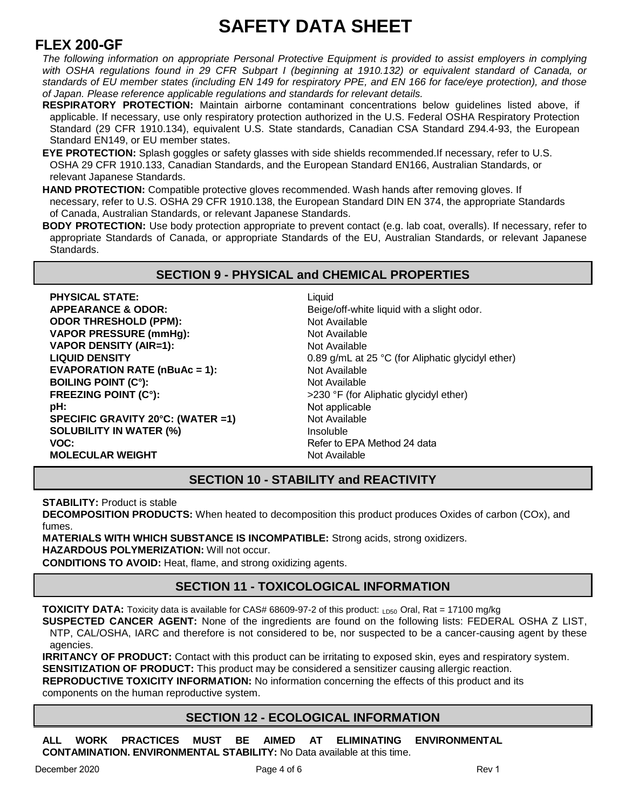# **65:9HM85H5G<99H**

# **)/(;\*)**

*The following information on appropriate Personal Protective Equipment is provided to assist employers in complying*  with OSHA regulations found in 29 CFR Subpart I (beginning at 1910.132) or equivalent standard of Canada, or *standards of EU member states (including EN 149 for respiratory PPE, and EN 166 for face/eye protection), and those of Japan. Please reference applicable regulations and standards for relevant details.*

- F9GD=F5HCFM DFCH97H=CB. Maintain airborne contaminant concentrations below quidelines listed above, if applicable. If necessary, use only respiratory protection authorized in the U.S. Federal OSHA Respiratory Protection Standard (29 CFR 1910.134), equivalent U.S. State standards, Canadian CSA Standard Z94.4-93, the European Standard EN149, or EU member states.
- 9M9 DFCH97H=CB. Splash goggles or safety glasses with side shields recommended.If necessary, refer to U.S. OSHA 29 CFR 1910.133, Canadian Standards, and the European Standard EN166, Australian Standards, or relevant Japanese Standards.

**+\$1'3527(&7,21**Compatible protective gloves recommended. Wash hands after removing gloves. If necessary, refer to U.S. OSHA 29 CFR 1910.138, the European Standard DIN EN 374, the appropriate Standards of Canada, Australian Standards, or relevant Japanese Standards.

**6C8M DFCH97H=CB.** Use body protection appropriate to prevent contact (e.g. lab coat, overalls). If necessary, refer to appropriate Standards of Canada, or appropriate Standards of the EU, Australian Standards, or relevant Japanese Standards.

### G97H=CB-ID<MG=75@UbX7<9A=75@DFCD9FH=9G

 $D < M$ G=75@ GH5H9. 5DD95F5B79'/'C8CF.' C8CF H<F9G<C@8 fiDDAL. **J5DCF DF9GGIF9 fla a < [L'J5DCF'** 89BG=HM<sup>'fi5</sup>=F1%.  $@$ =EI=8<sup>:</sup>89BG=HM **9J5DCF5H=CB F5H9 flb6 i 5W 1 %.**  $6C = 8$ ; DC=BH 17 st. : F99N=B; DC=BH f17 st.  $d <$ .  $G$ **D97=:=7; F5J=HM &\$š7. flK 5H9F 1%; GC@I6=@=HM'=B'K5H9F'flit' JC7.** AC@971@5F K9=:<H **HMD=75@'89BG=HM** 

Liquid Beige/off-white liquid with a slight odor. Not Available Not Available Not Available 1.4 Not Available Not Available 230 °F Not applicable Not Available Insoluble None Not Available 1.4

### G97H=CB`%\$`!`GH56=@=HM`UbX`F957H=J=HM`

**GH56=@=HM. Product is stable** 

897CADCG-H<sub>F</sub>CB DFC8 I 7HG. When heated to decomposition this product produces Oxides of carbon (COx), and fumes.

A 5H9F=5@G'K=H<'K<=7<'GI6GH5B79'=G'=B7CAD5H=6@9.'Strong acids, strong oxidizers.'  $-$ **5N5F8CIGDC@MA9F=N5H=CB. Will not occur.** 

7CB8:H:CBG'HC'5JC:8. Heat, flame, and strong oxidizing agents.

# G97H=CB'%%'!'HCL=7C@C:=75@'=B:CFA5H=CB'

**HCL=7=HM 8 5H5.** Toxicity data is available for CAS# 68609-97-2 of this product: <sub>LD50</sub> Oral, Rat = 17100 mg/kg

**GIGD97H98 75B79F 5; 9BH.** None of the ingredients are found on the following lists: FEDERAL OSHA Z LIST, NTP, CAL/OSHA, IARC and therefore is not considered to be, nor suspected to be a cancer-causing agent by these agencies.

**FF-H5B7M C: DFC817H.** Contact with this product can be irritating to exposed skin, eyes and respiratory system.

**69BG-H-N5H-CB C: DFC8 I 7H.** This product may be considered a sensitizer causing allergic reaction.

**F9DFC8 I 7H=J9'HCL=7=HM'=B: CFA 5H=CB. No information concerning the effects of this product and its** components on the human reproductive system.

### G97H=CB`%&`!`97C@C;=75@`=B:CFA5H=CB`

 $5@$  KCF? DF57H=79G AIGH 69 5=A98 5H 9@=A=B5H=B; 9BJ=FCBA9BH5@ **7 CBH5A:B5H:CB"9BJ:FCBA9BH5@'GH56:@:HM.'No Data available at this time.'**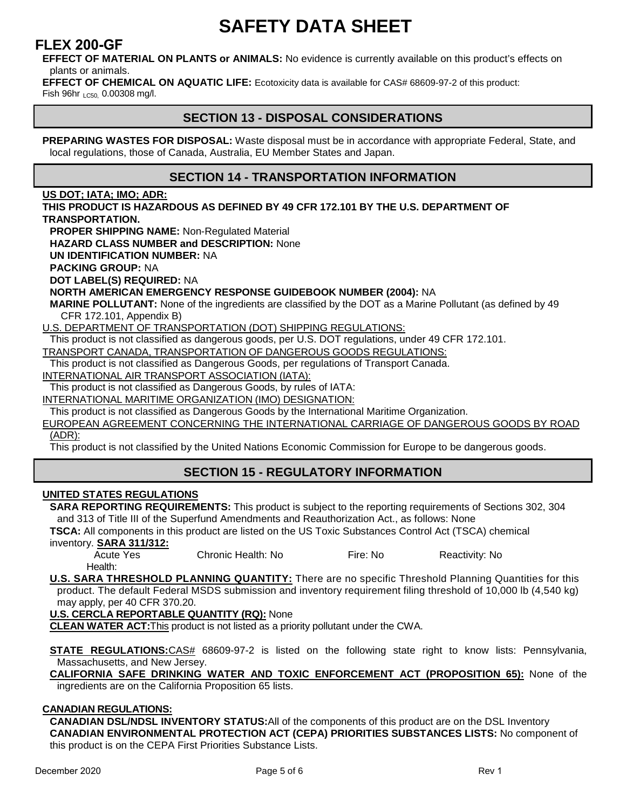# **65:9HM85H5G<99H**

### **)/(;\*)**

9:: 97H C: A 5H9F=5@ CB D@ 5BHG cf 5B=A 5@G. No evidence is currently available on this product's effects on plants or animals.

9:: 97H'C: 7<9A=75@'CB'5E I 5H=7'@=: 9. Ecotoxicity data is available for CAS# 68609-97-2 of this product: Fish 96hr  $_{LC50}$ , 0.00308 mg/l.

### G97H=CB'%'!'8=GDCG5@'7CBG=89F5H=CBG'

**DF9D5F=B; K5GH9G: : CF 8=GDCG5@.** Waste disposal must be in accordance with appropriate Federal, State, and local regulations, those of Canada, Australia, EU Member States and Japan.

### G97H=CB'%('!'HF5BGDCFH5H=CB'=B:CFA5H=CB'

### **1G'8CH/'=5H5/'=AC/'58F.**

 $H < 6$  DFC8 17H  $-G < 5N5$  F8C 1G 5G 89: B98 6M (-7: F -4&"%\$% 6M H < 9 1 G" 89D5 FHA 9BH C: **HF5BGDCFH5H=CB"** 

**DFCD9F G<= DD=B; B5A9. Non-Regulated Material** 

 $\leq$ 5N5F8'7@5GG'BIA69F'UbX'89G7F=DH=CB. None'

**1B:-89BH-:-75H-CBBIA69F.NA** 

**D57?=B; ; FCID. NA'** 

8 CH 0 5 6 9 @ figt F 9 E 1 = F 9 8 . NA

BCFH<'5A9F=75B'9A9F;9B7M'F9GDCBG9';1=896CC?'BIA69F'f&\$\$(*L*.'NA'

A 5F=B9 DC@0 I H5BH. None of the ingredients are classified by the DOT as a Marine Pollutant (as defined by 49<sup>-</sup> CFR 172.101, Appendix B)

U.S. DEPARTMENT OF TRANSPORTATION (DOT) SHIPPING REGULATIONS:

This product is not classified as dangerous goods, per U.S. DOT regulations, under 49 CFR 172.101.

TRANSPORT CANADA, TRANSPORTATION OF DANGEROUS GOODS REGULATIONS:

This product is not classified as Dangerous Goods, per regulations of Transport Canada.

INTERNATIONAL AIR TRANSPORT ASSOCIATION (IATA):

This product is not classified as Dangerous Goods, by rules of IATA:

INTERNATIONAL MARITIME ORGANIZATION (IMO) DESIGNATION:

This product is not classified as Dangerous Goods by the International Maritime Organization.

EUROPEAN AGREEMENT CONCERNING THE INTERNATIONAL CARRIAGE OF DANGEROUS GOODS BY ROAD (ADR):

This product is not classified by the United Nations Economic Commission for Europe to be dangerous goods.

# **6(&7,215(\*8/\$725<,1)250\$7,21**

### **1B:H98 GH5H9G F9; 1@5H:CBG**

**G5F5 F9DCFH-B: F9E I-F9A9BHG.** This product is subject to the reporting requirements of Sections 302, 304 and 313 of Title III of the Superfund Amendments and Reauthorization Act., as follows: None

**HG75.** All components in this product are listed on the US Toxic Substances Control Act (TSCA) chemical inventory. **65F5** '%%#'%&.

Chronic Health: No Fire: No Reactivity: No Health:

**866 TG'G5F5 H<F9G<C@8 D@5BB=B; EI5BH-HM.** There are no specific Threshold Planning Quantities for this product. The default Federal MSDS submission and inventory requirement filing threshold of 10,000 lb (4,540 kg) may apply, per 40 CFR 370.20.

**1"G"79F7@5`F9DCFH56@9`E15BH=HM`fIFEL. None`** 

**7095B K 5H9F 57H.** This product is not listed as a priority pollutant under the CWA.

GH5H9 F9; I @5H=CBG.CAS# 68609-97-2 is listed on the following state right to know lists: Pennsylvania, Massachusetts, and New Jersey.

75@=:CFB=5 G5:9 8F=B?=B; K5H9F 5B8 HCL=7 9B:CF79A9BH 57H flDFCDCG=H=CB \*)L. None of the ingredients are on the California Proposition 65 lists.

#### 75B58=5BF9; 105H=CBG.

75B58=5B`8G@#B8G@`=BJ9BHCFM`GH5HIG.All of the components of this product are on the DSL Inventory **75B58=5B 9BJ=FCBA9BH5@ DFCH97H=CB 57H 179D5L DF=CF=H=9G GI 6GH5B79G @=GHG. No component of** this product is on the CEPA First Priorities Substance Lists.